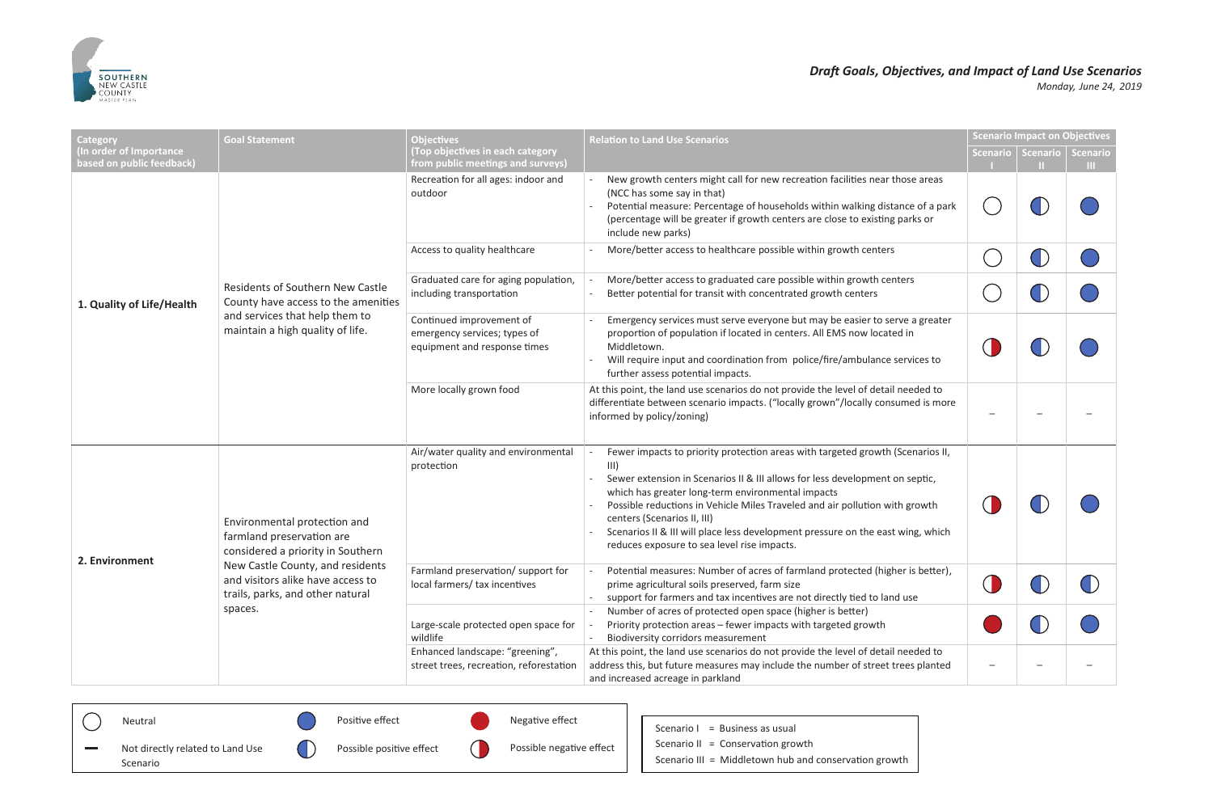## *Draft Goals, Objectives, and Impact of Land Use Scenarios Monday , June 24, 2019*

n growth



| Category<br>In order of Importance<br>based on public feedback) | <b>Goal Statement</b>                                                                                                                         | <b>Objectives</b><br>(Top objectives in each category<br>from public meetings and surveys) | <b>Relation to Land Use Scenarios</b>                                                                                                                                                                                                                                                                                                                                                                                                                                       |           | <b>Scenario Impact on Objectives</b><br>Scenario   Scenario | <b>Scenario</b><br>. |
|-----------------------------------------------------------------|-----------------------------------------------------------------------------------------------------------------------------------------------|--------------------------------------------------------------------------------------------|-----------------------------------------------------------------------------------------------------------------------------------------------------------------------------------------------------------------------------------------------------------------------------------------------------------------------------------------------------------------------------------------------------------------------------------------------------------------------------|-----------|-------------------------------------------------------------|----------------------|
| 1. Quality of Life/Health                                       |                                                                                                                                               | Recreation for all ages: indoor and<br>outdoor                                             | New growth centers might call for new recreation facilities near those areas<br>(NCC has some say in that)<br>Potential measure: Percentage of households within walking distance of a park<br>(percentage will be greater if growth centers are close to existing parks or<br>include new parks)                                                                                                                                                                           |           |                                                             |                      |
|                                                                 | Residents of Southern New Castle<br>County have access to the amenities<br>and services that help them to<br>maintain a high quality of life. | Access to quality healthcare                                                               | More/better access to healthcare possible within growth centers                                                                                                                                                                                                                                                                                                                                                                                                             |           |                                                             |                      |
|                                                                 |                                                                                                                                               | Graduated care for aging population,<br>including transportation                           | More/better access to graduated care possible within growth centers<br>Better potential for transit with concentrated growth centers                                                                                                                                                                                                                                                                                                                                        |           |                                                             |                      |
|                                                                 |                                                                                                                                               | Continued improvement of<br>emergency services; types of<br>equipment and response times   | Emergency services must serve everyone but may be easier to serve a greater<br>proportion of population if located in centers. All EMS now located in<br>Middletown.<br>Will require input and coordination from police/fire/ambulance services to<br>further assess potential impacts.                                                                                                                                                                                     | $\bigcup$ |                                                             |                      |
|                                                                 |                                                                                                                                               | More locally grown food                                                                    | At this point, the land use scenarios do not provide the level of detail needed to<br>differentiate between scenario impacts. ("locally grown"/locally consumed is more<br>informed by policy/zoning)                                                                                                                                                                                                                                                                       |           |                                                             |                      |
| 2. Environment                                                  | Environmental protection and<br>farmland preservation are<br>considered a priority in Southern                                                | Air/water quality and environmental<br>protection                                          | Fewer impacts to priority protection areas with targeted growth (Scenarios II,<br>III)<br>Sewer extension in Scenarios II & III allows for less development on septic,<br>which has greater long-term environmental impacts<br>Possible reductions in Vehicle Miles Traveled and air pollution with growth<br>centers (Scenarios II, III)<br>Scenarios II & III will place less development pressure on the east wing, which<br>reduces exposure to sea level rise impacts. |           |                                                             |                      |
|                                                                 | New Castle County, and residents<br>and visitors alike have access to<br>trails, parks, and other natural<br>spaces.                          | Farmland preservation/ support for<br>local farmers/ tax incentives                        | Potential measures: Number of acres of farmland protected (higher is better),<br>prime agricultural soils preserved, farm size<br>support for farmers and tax incentives are not directly tied to land use                                                                                                                                                                                                                                                                  | $\cup$    |                                                             |                      |
|                                                                 |                                                                                                                                               | Large-scale protected open space for<br>wildlife                                           | Number of acres of protected open space (higher is better)<br>Priority protection areas - fewer impacts with targeted growth<br><b>Biodiversity corridors measurement</b>                                                                                                                                                                                                                                                                                                   |           |                                                             |                      |
|                                                                 |                                                                                                                                               | Enhanced landscape: "greening",<br>street trees, recreation, reforestation                 | At this point, the land use scenarios do not provide the level of detail needed to<br>address this, but future measures may include the number of street trees planted<br>and increased acreage in parkland                                                                                                                                                                                                                                                                 |           |                                                             |                      |

|  | Neutral                          |  | Positive effect          |  | Negative effect          |  | = Business as usual<br>Scenario I              |
|--|----------------------------------|--|--------------------------|--|--------------------------|--|------------------------------------------------|
|  | Not directly related to Land Use |  | Possible positive effect |  | Possible negative effect |  | Scenario II = Conservation growth              |
|  | Scenario                         |  |                          |  |                          |  | Scenario III = Middletown hub and conservation |